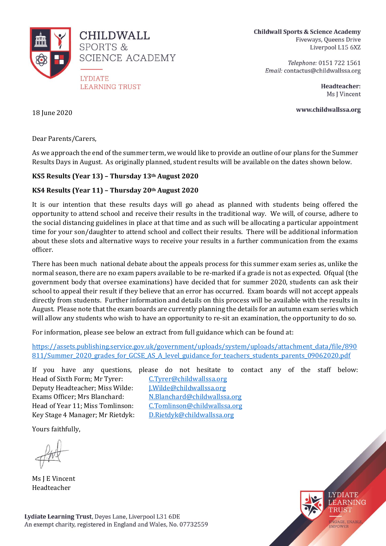

**CHILDWALL** SPORTS & SCIENCE ACADEMY

**LYDIATE LEARNING TRUST**  **Childwall Sports & Science Academy** Fiveways, Queens Drive Liverpool L15 6XZ

> Telephone: 0151 722 1561 Email: contactus@childwallssa.org

> > Headteacher: Ms J Vincent

www.childwallssa.org

18 June 2020

Dear Parents/Carers,

As we approach the end of the summer term, we would like to provide an outline of our plans for the Summer Results Days in August. As originally planned, student results will be available on the dates shown below.

## **KS5 Results (Year 13) – Thursday 13th August 2020**

## **KS4 Results (Year 11) – Thursday 20th August 2020**

It is our intention that these results days will go ahead as planned with students being offered the opportunity to attend school and receive their results in the traditional way. We will, of course, adhere to the social distancing guidelines in place at that time and as such will be allocating a particular appointment time for your son/daughter to attend school and collect their results. There will be additional information about these slots and alternative ways to receive your results in a further communication from the exams officer.

There has been much national debate about the appeals process for this summer exam series as, unlike the normal season, there are no exam papers available to be re-marked if a grade is not as expected. Ofqual (the government body that oversee examinations) have decided that for summer 2020, students can ask their school to appeal their result if they believe that an error has occurred. Exam boards will not accept appeals directly from students. Further information and details on this process will be available with the results in August. Please note that the exam boards are currently planning the details for an autumn exam series which will allow any students who wish to have an opportunity to re-sit an examination, the opportunity to do so.

For information, please see below an extract from full guidance which can be found at:

[https://assets.publishing.service.gov.uk/government/uploads/system/uploads/attachment\\_data/file/890](https://assets.publishing.service.gov.uk/government/uploads/system/uploads/attachment_data/file/890811/Summer_2020_grades_for_GCSE_AS_A_level_guidance_for_teachers_students_parents_09062020.pdf) [811/Summer\\_2020\\_grades\\_for\\_GCSE\\_AS\\_A\\_level\\_guidance\\_for\\_teachers\\_students\\_parents\\_09062020.pdf](https://assets.publishing.service.gov.uk/government/uploads/system/uploads/attachment_data/file/890811/Summer_2020_grades_for_GCSE_AS_A_level_guidance_for_teachers_students_parents_09062020.pdf)

Head of Sixth Form; Mr Tyrer: [C.Tyrer@childwallssa.org](mailto:C.Tyrer@childwallssa.org) Deputy Headteacher: Miss Wilde: [J.Wilde@childwallssa.org](mailto:J.Wilde@childwallssa.org) Exams Officer; Mrs Blanchard: [N.Blanchard@childwallssa.org](mailto:N.Blanchard@childwallssa.org) Head of Year 11; Miss Tomlinson: [C.Tomlinson@childwallssa.org](mailto:C.Tomlinson@childwallssa.org) Key Stage 4 Manager; Mr Rietdyk: [D.Rietdyk@childwallssa.org](mailto:D.Rietdyk@childwallssa.org)

Yours faithfully,

Ms J E Vincent Headteacher

If you have any questions, please do not hesitate to contact any of the staff below: